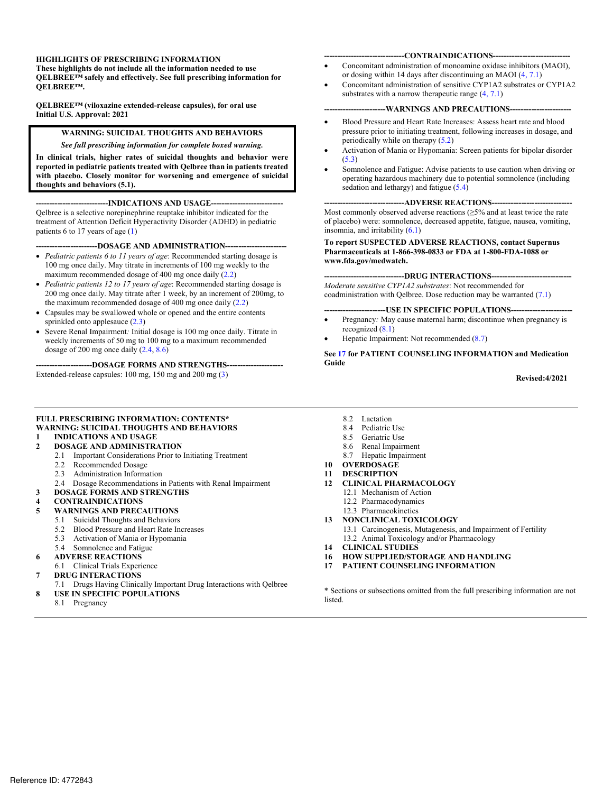#### **HIGHLIGHTS OF PRESCRIBING INFORMATION**

**These highlights do not include all the information needed to use QELBREE™ safely and effectively. See full prescribing information for QELBREE™.** 

 **Initial U.S. Approval: 2021 QELBREE™ (viloxazine extended-release capsules), for oral use** 

#### **WARNING: SUICIDAL THOUGHTS AND BEHAVIORS**

#### *See full prescribing information for complete boxed warning.*

 **In clinical trials, higher rates of suicidal thoughts and behavior were with placebo. Closely monitor for worsening and emergence of suicidal thoughts and behaviors (5.1). reported in pediatric patients treated with Qelbree than in patients treated** 

--INDICATIONS AND USAGE--

Qelbree is a selective norepinephrine reuptake inhibitor indicated for the treatment of Attention Deficit Hyperactivity Disorder (ADHD) in pediatric patients 6 to 17 years of age (1)

---DOSAGE AND ADMINISTRATION--

- maximum recommended dosage of 400 mg once daily (2.2) *Pediatric patients 6 to 11 years of age*: Recommended starting dosage is 100 mg once daily. May titrate in increments of 100 mg weekly to the
- 200 mg once daily. May titrate after 1 week, by an increment of 200mg, to the maximum recommended dosage of 400 mg once daily (2.2) *Pediatric patients 12 to 17 years of age*: Recommended starting dosage is
- Capsules may be swallowed whole or opened and the entire contents sprinkled onto applesauce  $(2.3)$
- weekly increments of 50 mg to 100 mg to a maximum recommended dosage of 200 mg once daily (2.4, 8.6) Severe Renal Impairment*:* Initial dosage is 100 mg once daily. Titrate in

--DOSAGE FORMS AND STRENGTHS--

Extended-release capsules: 100 mg, 150 mg and 200 mg (3)

#### -CONTRAINDICATIONS--

- or dosing within 14 days after discontinuing an MAOI (4, 7.1) Concomitant administration of monoamine oxidase inhibitors (MAOI),
- Concomitant administration of sensitive CYP1A2 substrates or CYP1A2 substrates with a narrow therapeutic range  $(4, 7.1)$

#### --WARNINGS AND PRECAUTIONS--

- Blood Pressure and Heart Rate Increases: Assess heart rate and blood pressure prior to initiating treatment, following increases in dosage, and periodically while on therapy (5.2)
- Activation of Mania or Hypomania: Screen patients for bipolar disorder (5.3)
- Somnolence and Fatigue: Advise patients to use caution when driving or operating hazardous machinery due to potential somnolence (including sedation and lethargy) and fatigue (5.4)

#### ----ADVERSE REACTIONS--

Most commonly observed adverse reactions  $(\geq 5\%$  and at least twice the rate of placebo) were: somnolence, decreased appetite, fatigue, nausea, vomiting, insomnia, and irritability  $(6.1)$ 

#### **Pharmaceuticals at 1-866-398-0833 or FDA at 1-800-FDA-1088 or**  www.fda.gov/medwatch. **To report SUSPECTED ADVERSE REACTIONS, contact Supernus**

**----DRUG INTERACTIONS---**

*Moderate sensitive CYP1A2 substrates*: Not recommended for coadministration with Qelbree. Dose reduction may be warranted (7.1)

--USE IN SPECIFIC POPULATIONS--

- Pregnancy*:* May cause maternal harm; discontinue when pregnancy is recognized (8.1)
- Hepatic Impairment: Not recommended (8.7)

**See 17 for PATIENT COUNSELING INFORMATION and Medication Guide** 

#### **Revised:4/2021**

#### **FULL PRESCRIBING INFORMATION: CONTENTS\* WARNING: SUICIDAL THOUGHTS AND BEHAVIORS**

#### **1 INDICATIONS AND USAGE**

#### **2 DOSAGE AND ADMINISTRATION**

- 2.1 Important Considerations Prior to Initiating Treatment
- 2.2 Recommended Dosage
- 2.3 Administration Information
- 2.4 Dosage Recommendations in Patients with Renal Impairment
- **3 DOSAGE FORMS AND STRENGTHS**
- **4 CONTRAINDICATIONS**
- **5 WARNINGS AND PRECAUTIONS** 
	- 5.1 Suicidal Thoughts and Behaviors
		- 5.2 Blood Pressure and Heart Rate Increases
		- 5.3 Activation of Mania or Hypomania
	- 5.4 Somnolence and Fatigue
- **6 ADVERSE REACTIONS**
- 6.1 Clinical Trials Experience
- **7 DRUG INTERACTIONS**
- 7.1 Drugs Having Clinically Important Drug Interactions with Qelbree **8 USE IN SPECIFIC POPULATIONS**
- 8.1 Pregnancy
- 8.2 Lactation<br>8.4 Pediatric
- Pediatric Use
- 8.5 Geriatric Use
- 8.6 Renal Impairment
- 8.7 Hepatic Impairment

#### **10 OVERDOSAGE**

- **11 DESCRIPTION**
- **12 CLINICAL PHARMACOLOGY** 
	- 12.1 Mechanism of Action
	- 12.2 Pharmacodynamics
	- 12.3 Pharmacokinetics
- $13$ **13 NONCLINICAL TOXICOLOGY** 
	- 13.1 Carcinogenesis, Mutagenesis, and Impairment of Fertility
	- 13.2 Animal Toxicology and/or Pharmacology
- **14 CLINICAL STUDIES**
- **16 HOW SUPPLIED/STORAGE AND HANDLING**
- **PATIENT COUNSELING INFORMATION**

\* Sections or subsections omitted from the full prescribing information are not listed.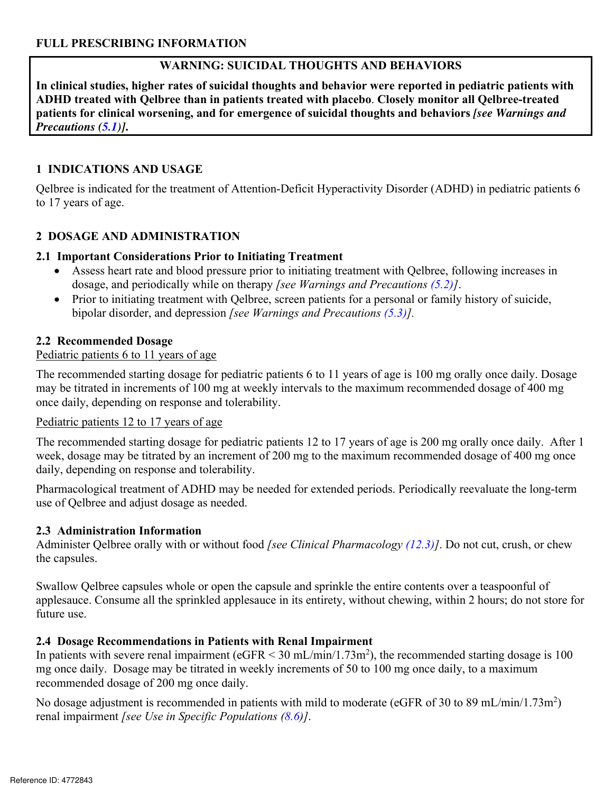# **WARNING: SUICIDAL THOUGHTS AND BEHAVIORS**

**In clinical studies, higher rates of suicidal thoughts and behavior were reported in pediatric patients with ADHD treated with Qelbree than in patients treated with placebo**. **Closely monitor all Qelbree-treated patients for clinical worsening, and for emergence of suicidal thoughts and behaviors** *[see Warnings and Precautions (5.1)]***.** 

### **1 INDICATIONS AND USAGE**

Qelbree is indicated for the treatment of Attention-Deficit Hyperactivity Disorder (ADHD) in pediatric patients 6 to 17 years of age.

### **2 DOSAGE AND ADMINISTRATION**

#### **2.1 Important Considerations Prior to Initiating Treatment**

- Assess heart rate and blood pressure prior to initiating treatment with Qelbree, following increases in dosage, and periodically while on therapy *[see Warnings and Precautions (5.2)]*.
- Prior to initiating treatment with Qelbree, screen patients for a personal or family history of suicide, bipolar disorder, and depression *[see Warnings and Precautions (5.3)].*

#### **2.2 Recommended Dosage**

#### Pediatric patients 6 to 11 years of age

The recommended starting dosage for pediatric patients 6 to 11 years of age is 100 mg orally once daily. Dosage may be titrated in increments of 100 mg at weekly intervals to the maximum recommended dosage of 400 mg once daily, depending on response and tolerability.

#### Pediatric patients 12 to 17 years of age

The recommended starting dosage for pediatric patients 12 to 17 years of age is 200 mg orally once daily. After 1 week, dosage may be titrated by an increment of 200 mg to the maximum recommended dosage of 400 mg once daily, depending on response and tolerability.

Pharmacological treatment of ADHD may be needed for extended periods. Periodically reevaluate the long-term use of Qelbree and adjust dosage as needed.

#### **2.3 Administration Information**

Administer Qelbree orally with or without food *[see Clinical Pharmacology (12.3)]*. Do not cut, crush, or chew the capsules.

Swallow Qelbree capsules whole or open the capsule and sprinkle the entire contents over a teaspoonful of applesauce. Consume all the sprinkled applesauce in its entirety, without chewing, within 2 hours; do not store for future use.

# **2.4 Dosage Recommendations in Patients with Renal Impairment**

In patients with severe renal impairment ( $eGFR < 30$  mL/min/1.73m<sup>2</sup>), the recommended starting dosage is 100 mg once daily. Dosage may be titrated in weekly increments of 50 to 100 mg once daily, to a maximum recommended dosage of 200 mg once daily.

No dosage adjustment is recommended in patients with mild to moderate (eGFR of 30 to 89 mL/min/1.73m<sup>2</sup>) renal impairment *[see Use in Specific Populations (8.6)]*.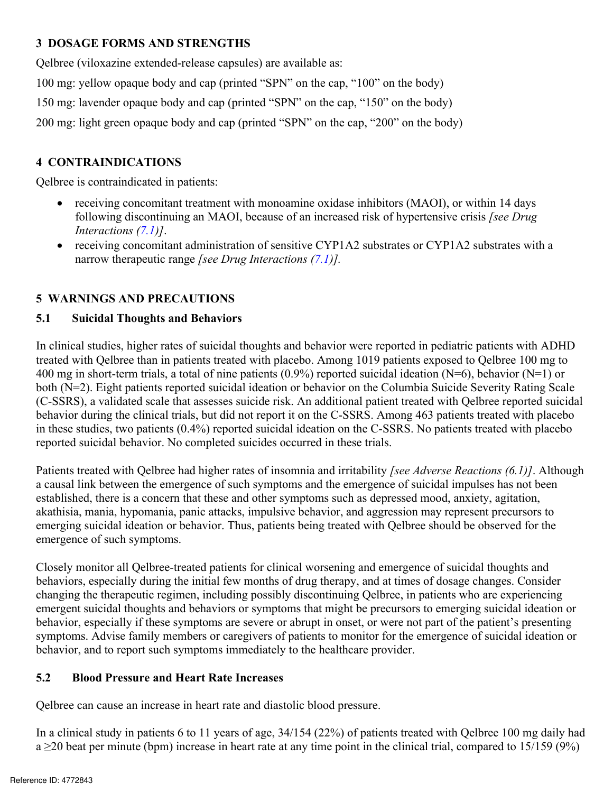### **3 DOSAGE FORMS AND STRENGTHS**

Qelbree (viloxazine extended-release capsules) are available as:

100 mg: yellow opaque body and cap (printed "SPN" on the cap, "100" on the body)

150 mg: lavender opaque body and cap (printed "SPN" on the cap, "150" on the body)

200 mg: light green opaque body and cap (printed "SPN" on the cap, "200" on the body)

### **4 CONTRAINDICATIONS**

Qelbree is contraindicated in patients:

- receiving concomitant treatment with monoamine oxidase inhibitors (MAOI), or within 14 days following discontinuing an MAOI, because of an increased risk of hypertensive crisis [see Drug Interactions (7.1)].<br>
 receiving receiving concomitant treatment with monoamine oxidase inhibitors (MAOI), or within 14 days following discontinuing an MAOI, because of an increased risk of hypertensive crisis *[see Drug Interactions (7.1)]*.
	- receiving concomitant administration of sensitive CYP1A2 substrates or CYP1A2 substrates with a narrow therapeutic range *[see Drug Interactions (7.1)].*

### **5 WARNINGS AND PRECAUTIONS**

### **5.1 Suicidal Thoughts and Behaviors**

In clinical studies, higher rates of suicidal thoughts and behavior were reported in pediatric patients with ADHD treated with Qelbree than in patients treated with placebo. Among 1019 patients exposed to Qelbree 100 mg to 400 mg in short-term trials, a total of nine patients (0.9%) reported suicidal ideation (N=6), behavior (N=1) or both (N=2). Eight patients reported suicidal ideation or behavior on the Columbia Suicide Severity Rating Scale (C-SSRS), a validated scale that assesses suicide risk. An additional patient treated with Qelbree reported suicidal behavior during the clinical trials, but did not report it on the C-SSRS. Among 463 patients treated with placebo in these studies, two patients (0.4%) reported suicidal ideation on the C-SSRS. No patients treated with placebo reported suicidal behavior. No completed suicides occurred in these trials.

Patients treated with Qelbree had higher rates of insomnia and irritability *[see Adverse Reactions (6.1)]*. Although a causal link between the emergence of such symptoms and the emergence of suicidal impulses has not been established, there is a concern that these and other symptoms such as depressed mood, anxiety, agitation, akathisia, mania, hypomania, panic attacks, impulsive behavior, and aggression may represent precursors to emerging suicidal ideation or behavior. Thus, patients being treated with Qelbree should be observed for the emergence of such symptoms.

Closely monitor all Qelbree-treated patients for clinical worsening and emergence of suicidal thoughts and behaviors, especially during the initial few months of drug therapy, and at times of dosage changes. Consider changing the therapeutic regimen, including possibly discontinuing Qelbree, in patients who are experiencing emergent suicidal thoughts and behaviors or symptoms that might be precursors to emerging suicidal ideation or behavior, especially if these symptoms are severe or abrupt in onset, or were not part of the patient's presenting symptoms. Advise family members or caregivers of patients to monitor for the emergence of suicidal ideation or behavior, and to report such symptoms immediately to the healthcare provider.

#### **5.2 Blood Pressure and Heart Rate Increases**

Qelbree can cause an increase in heart rate and diastolic blood pressure.

In a clinical study in patients 6 to 11 years of age, 34/154 (22%) of patients treated with Qelbree 100 mg daily had  $a \geq 20$  beat per minute (bpm) increase in heart rate at any time point in the clinical trial, compared to 15/159 (9%)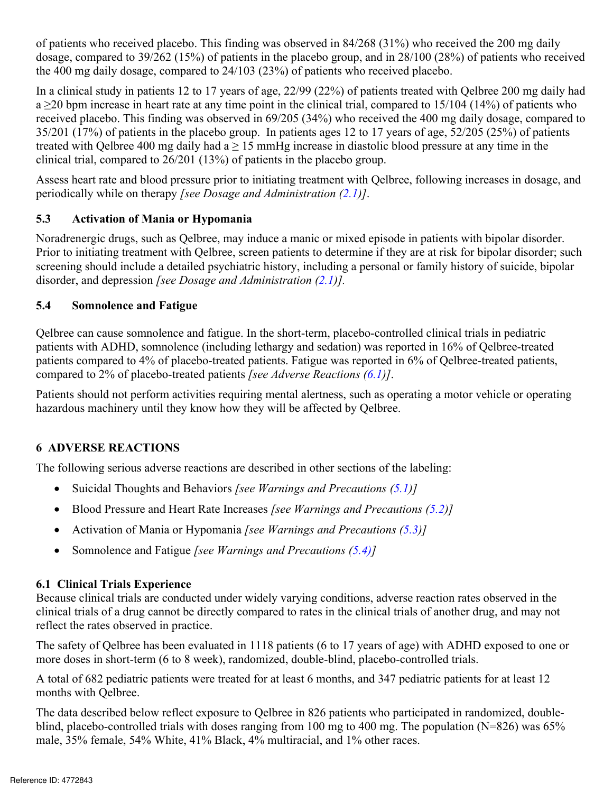of patients who received placebo. This finding was observed in 84/268 (31%) who received the 200 mg daily dosage, compared to 39/262 (15%) of patients in the placebo group, and in 28/100 (28%) of patients who received the 400 mg daily dosage, compared to 24/103 (23%) of patients who received placebo.

In a clinical study in patients 12 to 17 years of age, 22/99 (22%) of patients treated with Qelbree 200 mg daily had  $a \ge 20$  bpm increase in heart rate at any time point in the clinical trial, compared to 15/104 (14%) of patients who received placebo. This finding was observed in 69/205 (34%) who received the 400 mg daily dosage, compared to 35/201 (17%) of patients in the placebo group. In patients ages 12 to 17 years of age, 52/205 (25%) of patients treated with Qelbree 400 mg daily had  $a \ge 15$  mmHg increase in diastolic blood pressure at any time in the clinical trial, compared to 26/201 (13%) of patients in the placebo group.

Assess heart rate and blood pressure prior to initiating treatment with Qelbree, following increases in dosage, and periodically while on therapy *[see Dosage and Administration (2.1)]*.

# **5.3 Activation of Mania or Hypomania**

Noradrenergic drugs, such as Qelbree, may induce a manic or mixed episode in patients with bipolar disorder. Prior to initiating treatment with Qelbree, screen patients to determine if they are at risk for bipolar disorder; such screening should include a detailed psychiatric history, including a personal or family history of suicide, bipolar disorder, and depression *[see Dosage and Administration (2.1)].* 

# **5.4 Somnolence and Fatigue**

Qelbree can cause somnolence and fatigue. In the short-term, placebo-controlled clinical trials in pediatric patients with ADHD, somnolence (including lethargy and sedation) was reported in 16% of Qelbree-treated patients compared to 4% of placebo-treated patients. Fatigue was reported in 6% of Qelbree-treated patients, compared to 2% of placebo-treated patients *[see Adverse Reactions (6.1)]*.

Patients should not perform activities requiring mental alertness, such as operating a motor vehicle or operating hazardous machinery until they know how they will be affected by Qelbree.

# **6 ADVERSE REACTIONS**

The following serious adverse reactions are described in other sections of the labeling:

- Suicidal Thoughts and Behaviors *[see Warnings and Precautions (5.1)]*
- Fuicidal Thoughts and Behaviors *[see Warnings and Precautions (5.1)]*<br>
Blood Pressure and Heart Rate Increases *[see Warnings and Precautions (5.2)]*<br>
Activation of Mania or Hypomania *[see Warnings and Precautions (5.3)]* Blood Pressure and Heart Rate Increases *[see Warnings and Precautions (5.2)]*
- Activation of Mania or Hypomania *[see Warnings and Precautions (5.3)]*
- Somnolence and Fatigue *[see Warnings and Precautions (5.4)]*

# **6.1 Clinical Trials Experience**

Because clinical trials are conducted under widely varying conditions, adverse reaction rates observed in the clinical trials of a drug cannot be directly compared to rates in the clinical trials of another drug, and may not reflect the rates observed in practice.

The safety of Qelbree has been evaluated in 1118 patients (6 to 17 years of age) with ADHD exposed to one or more doses in short-term (6 to 8 week), randomized, double-blind, placebo-controlled trials.

A total of 682 pediatric patients were treated for at least 6 months, and 347 pediatric patients for at least 12 months with Qelbree.

The data described below reflect exposure to Qelbree in 826 patients who participated in randomized, doubleblind, placebo-controlled trials with doses ranging from 100 mg to 400 mg. The population (N=826) was 65% male, 35% female, 54% White, 41% Black, 4% multiracial, and 1% other races.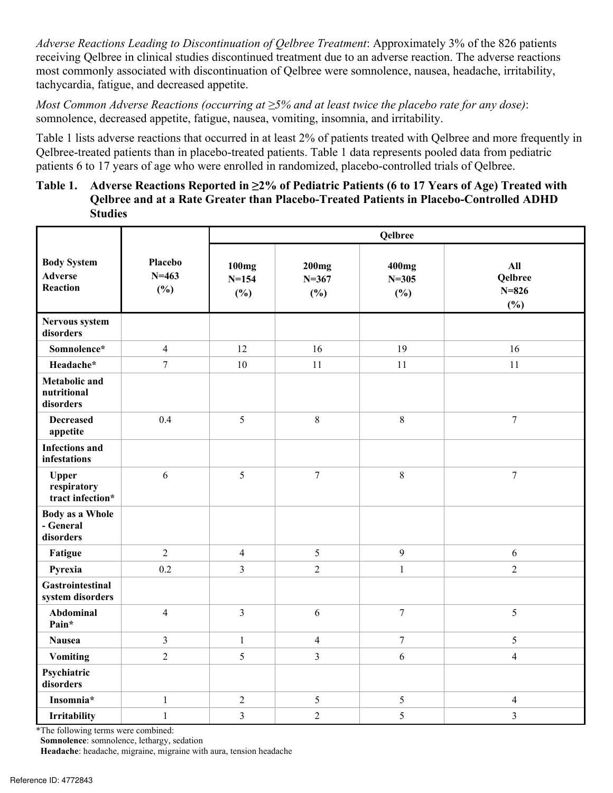*Adverse Reactions Leading to Discontinuation of Qelbree Treatment*: Approximately 3% of the 826 patients receiving Qelbree in clinical studies discontinued treatment due to an adverse reaction. The adverse reactions most commonly associated with discontinuation of Qelbree were somnolence, nausea, headache, irritability, tachycardia, fatigue, and decreased appetite.

*Most Common Adverse Reactions (occurring at ≥5% and at least twice the placebo rate for any dose)*: somnolence, decreased appetite, fatigue, nausea, vomiting, insomnia, and irritability.

Table 1 lists adverse reactions that occurred in at least 2% of patients treated with Qelbree and more frequently in Qelbree-treated patients than in placebo-treated patients. Table 1 data represents pooled data from pediatric patients 6 to 17 years of age who were enrolled in randomized, placebo-controlled trials of Qelbree.

#### **Table 1. Adverse Reactions Reported in ≥2% of Pediatric Patients (6 to 17 Years of Age) Treated with Qelbree and at a Rate Greater than Placebo-Treated Patients in Placebo-Controlled ADHD Studies**

|                                                         |                             | Qelbree                   |                                  |                           |                                    |  |
|---------------------------------------------------------|-----------------------------|---------------------------|----------------------------------|---------------------------|------------------------------------|--|
| <b>Body System</b><br><b>Adverse</b><br><b>Reaction</b> | Placebo<br>$N = 463$<br>(%) | 100mg<br>$N = 154$<br>(%) | <b>200mg</b><br>$N = 367$<br>(%) | 400mg<br>$N = 305$<br>(%) | All<br>Qelbree<br>$N = 826$<br>(%) |  |
| Nervous system<br>disorders                             |                             |                           |                                  |                           |                                    |  |
| Somnolence*                                             | $\overline{\mathbf{4}}$     | 12                        | 16                               | 19                        | 16                                 |  |
| Headache*                                               | $\overline{7}$              | 10                        | 11                               | 11                        | 11                                 |  |
| <b>Metabolic and</b><br>nutritional<br>disorders        |                             |                           |                                  |                           |                                    |  |
| <b>Decreased</b><br>appetite                            | 0.4                         | 5                         | $8\,$                            | $\,8\,$                   | $\boldsymbol{7}$                   |  |
| <b>Infections and</b><br>infestations                   |                             |                           |                                  |                           |                                    |  |
| <b>Upper</b><br>respiratory<br>tract infection*         | 6                           | 5                         | $\tau$                           | $\,8\,$                   | $\boldsymbol{7}$                   |  |
| <b>Body as a Whole</b><br>- General<br>disorders        |                             |                           |                                  |                           |                                    |  |
| Fatigue                                                 | $\overline{2}$              | $\overline{4}$            | 5                                | 9                         | 6                                  |  |
| Pyrexia                                                 | 0.2                         | $\overline{3}$            | $\overline{2}$                   | $\mathbf{1}$              | $\overline{c}$                     |  |
| <b>Gastrointestinal</b><br>system disorders             |                             |                           |                                  |                           |                                    |  |
| Abdominal<br>Pain*                                      | $\overline{4}$              | $\overline{3}$            | 6                                | $\boldsymbol{7}$          | 5                                  |  |
| <b>Nausea</b>                                           | $\overline{\mathbf{3}}$     | $\mathbf{1}$              | $\overline{4}$                   | $\tau$                    | 5                                  |  |
| <b>Vomiting</b>                                         | $\overline{2}$              | 5                         | $\overline{3}$                   | 6                         | $\overline{4}$                     |  |
| Psychiatric<br>disorders                                |                             |                           |                                  |                           |                                    |  |
| Insomnia*                                               | $\mathbf{1}$                | $\overline{2}$            | 5                                | 5                         | $\overline{4}$                     |  |
| Irritability                                            | $\mathbf{1}$                | 3                         | $\overline{2}$                   | 5                         | $\mathfrak{Z}$                     |  |

\*The following terms were combined:

**Somnolence**: somnolence, lethargy, sedation

**Headache**: headache, migraine, migraine with aura, tension headache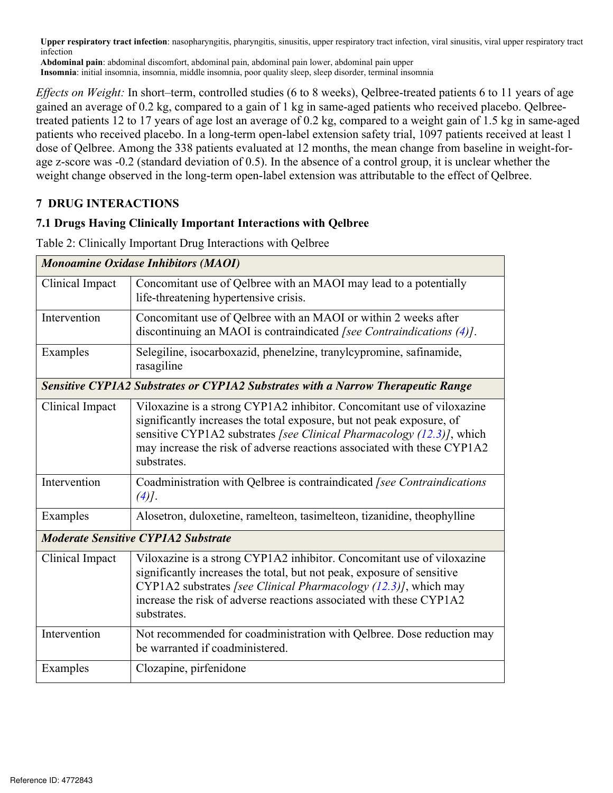**Upper respiratory tract infection**: nasopharyngitis, pharyngitis, sinusitis, upper respiratory tract infection, viral sinusitis, viral upper respiratory tract infection

**Abdominal pain**: abdominal discomfort, abdominal pain, abdominal pain lower, abdominal pain upper **Insomnia**: initial insomnia, insomnia, middle insomnia, poor quality sleep, sleep disorder, terminal insomnia

*Effects on Weight:* In short–term, controlled studies (6 to 8 weeks), Qelbree-treated patients 6 to 11 years of age gained an average of 0.2 kg, compared to a gain of 1 kg in same-aged patients who received placebo. Qelbreetreated patients 12 to 17 years of age lost an average of 0.2 kg, compared to a weight gain of 1.5 kg in same-aged patients who received placebo. In a long-term open-label extension safety trial, 1097 patients received at least 1 dose of Qelbree. Among the 338 patients evaluated at 12 months, the mean change from baseline in weight-forage z-score was -0.2 (standard deviation of 0.5). In the absence of a control group, it is unclear whether the weight change observed in the long-term open-label extension was attributable to the effect of Qelbree.

### **7 DRUG INTERACTIONS**

### **7.1 Drugs Having Clinically Important Interactions with Qelbree**

|                 | <b>Monoamine Oxidase Inhibitors (MAOI)</b>                                                                                                                                                                                                                                                                         |
|-----------------|--------------------------------------------------------------------------------------------------------------------------------------------------------------------------------------------------------------------------------------------------------------------------------------------------------------------|
| Clinical Impact | Concomitant use of Qelbree with an MAOI may lead to a potentially<br>life-threatening hypertensive crisis.                                                                                                                                                                                                         |
| Intervention    | Concomitant use of Qelbree with an MAOI or within 2 weeks after<br>discontinuing an MAOI is contraindicated [see Contraindications (4)].                                                                                                                                                                           |
| Examples        | Selegiline, isocarboxazid, phenelzine, tranylcypromine, safinamide,<br>rasagiline                                                                                                                                                                                                                                  |
|                 | Sensitive CYP1A2 Substrates or CYP1A2 Substrates with a Narrow Therapeutic Range                                                                                                                                                                                                                                   |
| Clinical Impact | Viloxazine is a strong CYP1A2 inhibitor. Concomitant use of viloxazine<br>significantly increases the total exposure, but not peak exposure, of<br>sensitive CYP1A2 substrates [see Clinical Pharmacology (12.3)], which<br>may increase the risk of adverse reactions associated with these CYP1A2<br>substrates. |
| Intervention    | Coadministration with Qelbree is contraindicated [see Contraindications<br>$(4)$ ].                                                                                                                                                                                                                                |
| Examples        | Alosetron, duloxetine, ramelteon, tasimelteon, tizanidine, theophylline                                                                                                                                                                                                                                            |
|                 | <b>Moderate Sensitive CYP1A2 Substrate</b>                                                                                                                                                                                                                                                                         |
| Clinical Impact | Viloxazine is a strong CYP1A2 inhibitor. Concomitant use of viloxazine<br>significantly increases the total, but not peak, exposure of sensitive<br>CYP1A2 substrates [see Clinical Pharmacology (12.3)], which may<br>increase the risk of adverse reactions associated with these CYP1A2<br>substrates.          |
| Intervention    | Not recommended for coadministration with Qelbree. Dose reduction may<br>be warranted if coadministered.                                                                                                                                                                                                           |
| Examples        | Clozapine, pirfenidone                                                                                                                                                                                                                                                                                             |

Table 2: Clinically Important Drug Interactions with Qelbree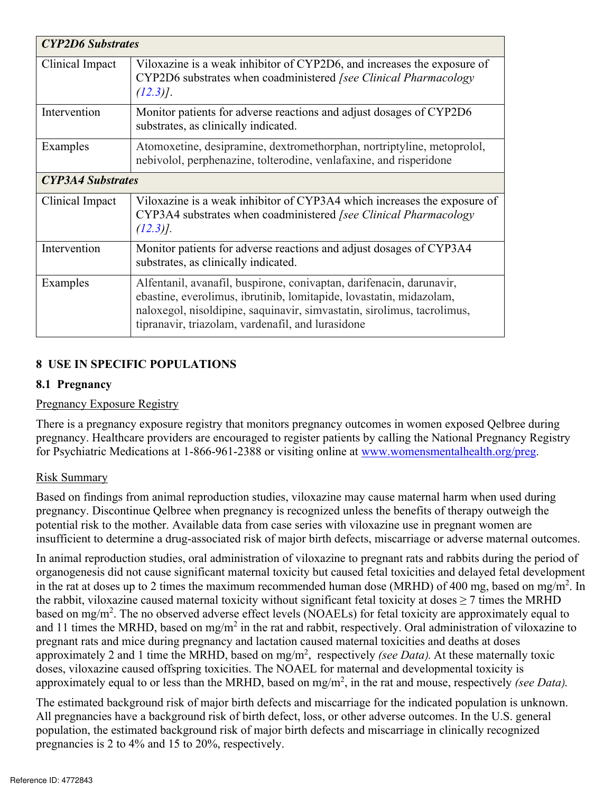| <b>CYP2D6</b> Substrates |                                                                                                                                                                                                                                                                             |
|--------------------------|-----------------------------------------------------------------------------------------------------------------------------------------------------------------------------------------------------------------------------------------------------------------------------|
| Clinical Impact          | Viloxazine is a weak inhibitor of CYP2D6, and increases the exposure of<br>CYP2D6 substrates when coadministered [see Clinical Pharmacology<br>$(12.3)$ .                                                                                                                   |
| Intervention             | Monitor patients for adverse reactions and adjust dosages of CYP2D6<br>substrates, as clinically indicated.                                                                                                                                                                 |
| Examples                 | Atomoxetine, desipramine, dextromethorphan, nortriptyline, metoprolol,<br>nebivolol, perphenazine, tolterodine, venlafaxine, and risperidone                                                                                                                                |
| <b>CYP3A4 Substrates</b> |                                                                                                                                                                                                                                                                             |
| Clinical Impact          | Viloxazine is a weak inhibitor of CYP3A4 which increases the exposure of<br>CYP3A4 substrates when coadministered [see Clinical Pharmacology<br>$(12.3)$ ].                                                                                                                 |
| Intervention             | Monitor patients for adverse reactions and adjust dosages of CYP3A4<br>substrates, as clinically indicated.                                                                                                                                                                 |
| Examples                 | Alfentanil, avanafil, buspirone, conivaptan, darifenacin, darunavir,<br>ebastine, everolimus, ibrutinib, lomitapide, lovastatin, midazolam,<br>naloxegol, nisoldipine, saquinavir, simvastatin, sirolimus, tacrolimus,<br>tipranavir, triazolam, vardenafil, and lurasidone |

# **8 USE IN SPECIFIC POPULATIONS**

#### **8.1 Pregnancy**

#### Pregnancy Exposure Registry

There is a pregnancy exposure registry that monitors pregnancy outcomes in women exposed Qelbree during pregnancy. Healthcare providers are encouraged to register patients by calling the National Pregnancy Registry for Psychiatric Medications at 1-866-961-2388 or visiting online at www.womensmentalhealth.org/preg.

#### Risk Summary

insufficient to determine a drug-associated risk of major birth defects, miscarriage or adverse maternal outcomes. Based on findings from animal reproduction studies, viloxazine may cause maternal harm when used during pregnancy. Discontinue Qelbree when pregnancy is recognized unless the benefits of therapy outweigh the potential risk to the mother. Available data from case series with viloxazine use in pregnant women are

In animal reproduction studies, oral administration of viloxazine to pregnant rats and rabbits during the period of organogenesis did not cause significant maternal toxicity but caused fetal toxicities and delayed fetal development in the rat at doses up to 2 times the maximum recommended human dose (MRHD) of 400 mg, based on mg/m<sup>2</sup>. In the rabbit, viloxazine caused maternal toxicity without significant fetal toxicity at doses  $\geq$  7 times the MRHD based on mg/m<sup>2</sup>. The no observed adverse effect levels (NOAELs) for fetal toxicity are approximately equal to and 11 times the MRHD, based on mg/m<sup>2</sup> in the rat and rabbit, respectively. Oral administration of viloxazine to pregnant rats and mice during pregnancy and lactation caused maternal toxicities and deaths at doses approximately 2 and 1 time the MRHD, based on mg/m<sup>2</sup>, respectively *(see Data)*. At these maternally toxic doses, viloxazine caused offspring toxicities. The NOAEL for maternal and developmental toxicity is approximately equal to or less than the MRHD, based on mg/m<sup>2</sup> , in the rat and mouse, respectively *(see Data*).

The estimated background risk of major birth defects and miscarriage for the indicated population is unknown. All pregnancies have a background risk of birth defect, loss, or other adverse outcomes. In the U.S. general population, the estimated background risk of major birth defects and miscarriage in clinically recognized pregnancies is 2 to 4% and 15 to 20%, respectively.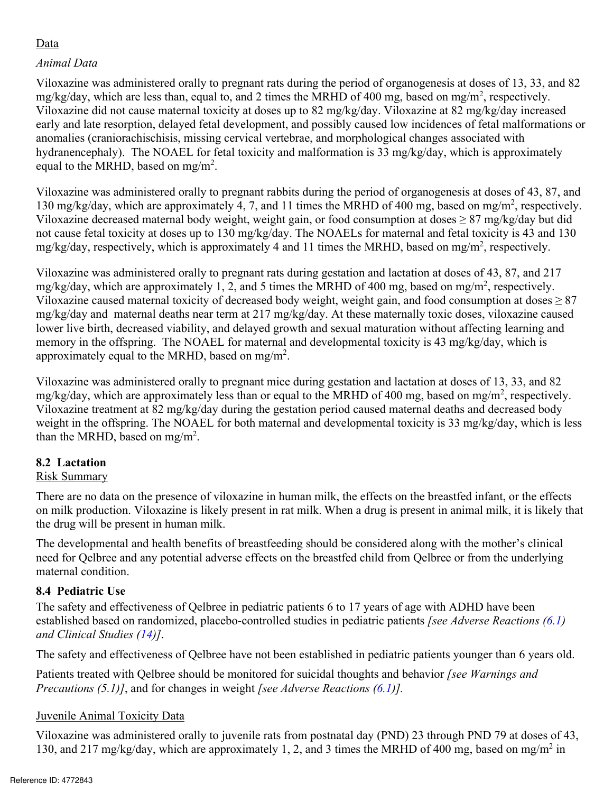# Data

# *Animal Data*

Viloxazine was administered orally to pregnant rats during the period of organogenesis at doses of 13, 33, and 82 mg/kg/day, which are less than, equal to, and 2 times the MRHD of 400 mg, based on mg/m<sup>2</sup>, respectively. Viloxazine did not cause maternal toxicity at doses up to 82 mg/kg/day. Viloxazine at 82 mg/kg/day increased early and late resorption, delayed fetal development, and possibly caused low incidences of fetal malformations or anomalies (craniorachischisis, missing cervical vertebrae, and morphological changes associated with hydranencephaly). The NOAEL for fetal toxicity and malformation is 33 mg/kg/day, which is approximately equal to the MRHD, based on mg/m<sup>2</sup>.

Viloxazine was administered orally to pregnant rabbits during the period of organogenesis at doses of 43, 87, and 130 mg/kg/day, which are approximately 4, 7, and 11 times the MRHD of 400 mg, based on mg/m<sup>2</sup>, respectively. Viloxazine decreased maternal body weight, weight gain, or food consumption at doses  $\geq 87$  mg/kg/day but did not cause fetal toxicity at doses up to 130 mg/kg/day. The NOAELs for maternal and fetal toxicity is 43 and 130 mg/kg/day, respectively, which is approximately 4 and 11 times the MRHD, based on mg/m<sup>2</sup>, respectively.

Viloxazine was administered orally to pregnant rats during gestation and lactation at doses of 43, 87, and 217 mg/kg/day, which are approximately 1, 2, and 5 times the MRHD of 400 mg, based on mg/m<sup>2</sup>, respectively. Viloxazine caused maternal toxicity of decreased body weight, weight gain, and food consumption at doses ≥ 87 mg/kg/day and maternal deaths near term at 217 mg/kg/day. At these maternally toxic doses, viloxazine caused lower live birth, decreased viability, and delayed growth and sexual maturation without affecting learning and memory in the offspring. The NOAEL for maternal and developmental toxicity is 43 mg/kg/day, which is approximately equal to the MRHD, based on mg/m<sup>2</sup>.

Viloxazine was administered orally to pregnant mice during gestation and lactation at doses of 13, 33, and 82 mg/kg/day, which are approximately less than or equal to the MRHD of 400 mg, based on mg/m<sup>2</sup>, respectively. Viloxazine treatment at 82 mg/kg/day during the gestation period caused maternal deaths and decreased body weight in the offspring. The NOAEL for both maternal and developmental toxicity is 33 mg/kg/day, which is less than the MRHD, based on mg/m<sup>2</sup>.

# **8.2 Lactation**

# Risk Summary

There are no data on the presence of viloxazine in human milk, the effects on the breastfed infant, or the effects on milk production. Viloxazine is likely present in rat milk. When a drug is present in animal milk, it is likely that the drug will be present in human milk.

The developmental and health benefits of breastfeeding should be considered along with the mother's clinical need for Qelbree and any potential adverse effects on the breastfed child from Qelbree or from the underlying maternal condition.

# **8.4 Pediatric Use**

The safety and effectiveness of Qelbree in pediatric patients 6 to 17 years of age with ADHD have been established based on randomized, placebo-controlled studies in pediatric patients *[see Adverse Reactions (6.1) and Clinical Studies (14)]*.

The safety and effectiveness of Qelbree have not been established in pediatric patients younger than 6 years old.

Patients treated with Qelbree should be monitored for suicidal thoughts and behavior *[see Warnings and Precautions (5.1)]*, and for changes in weight *[see Adverse Reactions (6.1)].* 

# Juvenile Animal Toxicity Data

Viloxazine was administered orally to juvenile rats from postnatal day (PND) 23 through PND 79 at doses of 43, 130, and 217 mg/kg/day, which are approximately 1, 2, and 3 times the MRHD of 400 mg, based on mg/m<sup>2</sup> in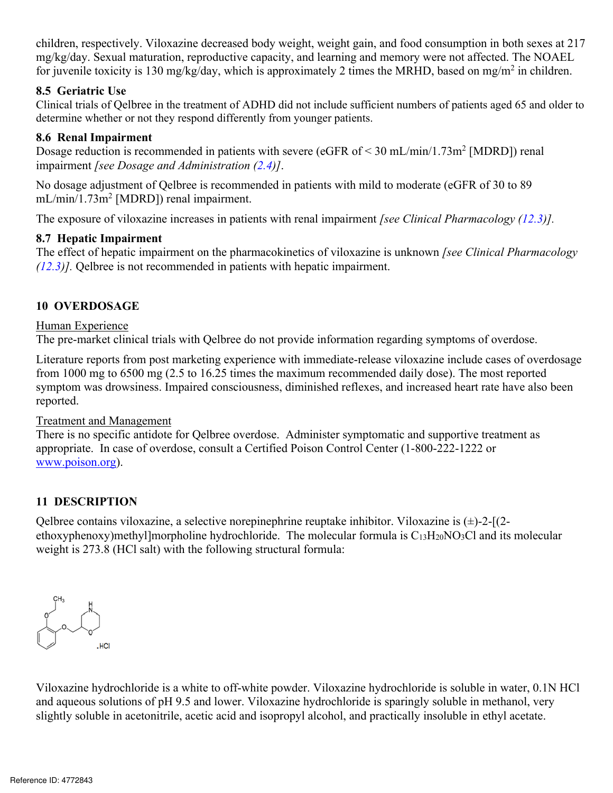children, respectively. Viloxazine decreased body weight, weight gain, and food consumption in both sexes at 217 mg/kg/day. Sexual maturation, reproductive capacity, and learning and memory were not affected. The NOAEL for juvenile toxicity is 130 mg/kg/day, which is approximately 2 times the MRHD, based on mg/m<sup>2</sup> in children.

#### **8.5 Geriatric Use**

Clinical trials of Qelbree in the treatment of ADHD did not include sufficient numbers of patients aged 65 and older to determine whether or not they respond differently from younger patients.

#### **8.6 Renal Impairment**

Dosage reduction is recommended in patients with severe (eGFR of  $\leq$  30 mL/min/1.73m<sup>2</sup> [MDRD]) renal impairment *[see Dosage and Administration (2.4)]*.

No dosage adjustment of Qelbree is recommended in patients with mild to moderate (eGFR of 30 to 89 mL/min/1.73m<sup>2</sup> [MDRD]) renal impairment.

The exposure of viloxazine increases in patients with renal impairment *[see Clinical Pharmacology (12.3)].* 

#### **8.7 Hepatic Impairment**

The effect of hepatic impairment on the pharmacokinetics of viloxazine is unknown *[see Clinical Pharmacology (12.3)].* Qelbree is not recommended in patients with hepatic impairment.

### **10 OVERDOSAGE**

#### Human Experience

The pre-market clinical trials with Qelbree do not provide information regarding symptoms of overdose.

Literature reports from post marketing experience with immediate-release viloxazine include cases of overdosage from 1000 mg to 6500 mg (2.5 to 16.25 times the maximum recommended daily dose). The most reported symptom was drowsiness. Impaired consciousness, diminished reflexes, and increased heart rate have also been reported.

#### Treatment and Management

There is no specific antidote for Qelbree overdose. Administer symptomatic and supportive treatment as appropriate. In case of overdose, consult a Certified Poison Control Center (1-800-222-1222 or www.poison.org).

# **11 DESCRIPTION**

Qelbree contains viloxazine, a selective norepinephrine reuptake inhibitor. Viloxazine is  $(\pm)$ -2-[ $(2$ ethoxyphenoxy)methyl]morpholine hydrochloride. The molecular formula is  $C_{13}H_{20}NO_3Cl$  and its molecular weight is 273.8 (HCl salt) with the following structural formula:



Viloxazine hydrochloride is a white to off-white powder. Viloxazine hydrochloride is soluble in water, 0.1N HCl and aqueous solutions of pH 9.5 and lower. Viloxazine hydrochloride is sparingly soluble in methanol, very slightly soluble in acetonitrile, acetic acid and isopropyl alcohol, and practically insoluble in ethyl acetate.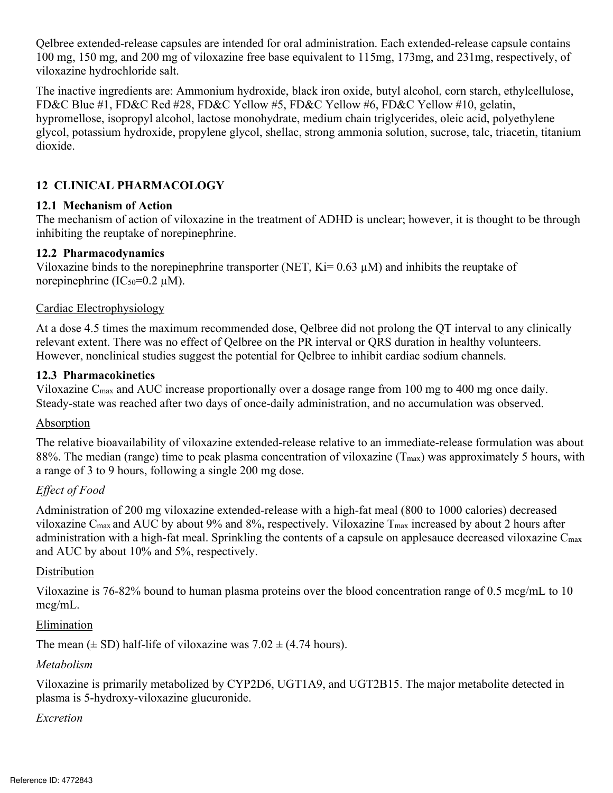Qelbree extended-release capsules are intended for oral administration. Each extended-release capsule contains 100 mg, 150 mg, and 200 mg of viloxazine free base equivalent to 115mg, 173mg, and 231mg, respectively, of viloxazine hydrochloride salt.

The inactive ingredients are: Ammonium hydroxide, black iron oxide, butyl alcohol, corn starch, ethylcellulose, FD&C Blue #1, FD&C Red #28, FD&C Yellow #5, FD&C Yellow #6, FD&C Yellow #10, gelatin, hypromellose, isopropyl alcohol, lactose monohydrate, medium chain triglycerides, oleic acid, polyethylene glycol, potassium hydroxide, propylene glycol, shellac, strong ammonia solution, sucrose, talc, triacetin, titanium dioxide.

# **12 CLINICAL PHARMACOLOGY**

### **12.1 Mechanism of Action**

The mechanism of action of viloxazine in the treatment of ADHD is unclear; however, it is thought to be through inhibiting the reuptake of norepinephrine.

### **12.2 Pharmacodynamics**

norepinephrine ( $IC_{50}$ =0.2  $\mu$ M). Viloxazine binds to the norepinephrine transporter (NET,  $Ki = 0.63 \mu M$ ) and inhibits the reuptake of

### Cardiac Electrophysiology

At a dose 4.5 times the maximum recommended dose, Qelbree did not prolong the QT interval to any clinically relevant extent. There was no effect of Qelbree on the PR interval or QRS duration in healthy volunteers. However, nonclinical studies suggest the potential for Qelbree to inhibit cardiac sodium channels.

### **12.3 Pharmacokinetics**

Viloxazine Cmax and AUC increase proportionally over a dosage range from 100 mg to 400 mg once daily. Steady-state was reached after two days of once-daily administration, and no accumulation was observed.

#### **Absorption**

The relative bioavailability of viloxazine extended-release relative to an immediate-release formulation was about 88%. The median (range) time to peak plasma concentration of viloxazine  $(T_{\text{max}})$  was approximately 5 hours, with a range of 3 to 9 hours, following a single 200 mg dose.

# *Effect of Food*

Administration of 200 mg viloxazine extended-release with a high-fat meal (800 to 1000 calories) decreased viloxazine Cmax and AUC by about 9% and 8%, respectively. Viloxazine Tmax increased by about 2 hours after administration with a high-fat meal. Sprinkling the contents of a capsule on applesauce decreased viloxazine  $C_{\text{max}}$ and AUC by about 10% and 5%, respectively.

# **Distribution**

Viloxazine is 76-82% bound to human plasma proteins over the blood concentration range of 0.5 mcg/mL to 10 mcg/mL.

# Elimination

The mean  $(\pm SD)$  half-life of viloxazine was  $7.02 \pm (4.74$  hours).

# *Metabolism*

Viloxazine is primarily metabolized by CYP2D6, UGT1A9, and UGT2B15. The major metabolite detected in plasma is 5-hydroxy-viloxazine glucuronide.

# *Excretion*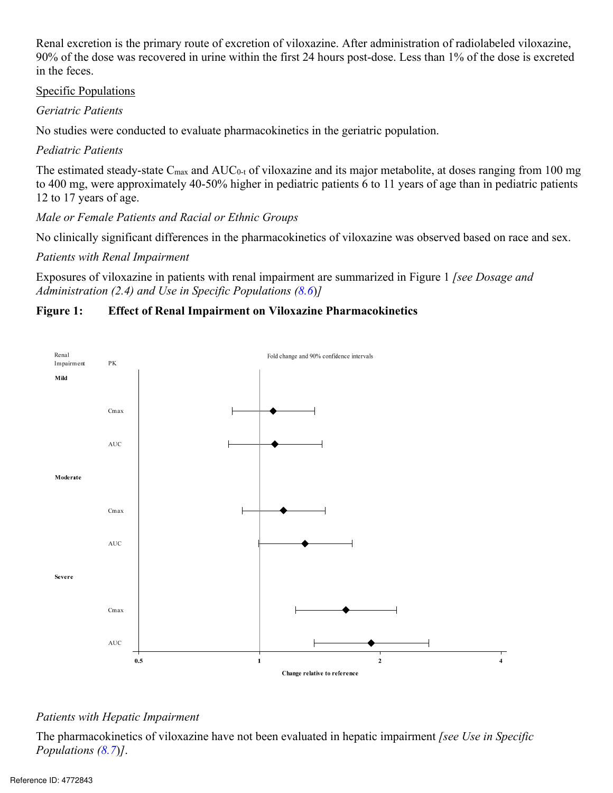Renal excretion is the primary route of excretion of viloxazine. After administration of radiolabeled viloxazine, 90% of the dose was recovered in urine within the first 24 hours post-dose. Less than 1% of the dose is excreted in the feces.

#### Specific Populations

#### *Geriatric Patients*

No studies were conducted to evaluate pharmacokinetics in the geriatric population.

### *Pediatric Patients*

The estimated steady-state  $C_{\text{max}}$  and  $AUC_{0-t}$  of viloxazine and its major metabolite, at doses ranging from 100 mg to 400 mg, were approximately 40-50% higher in pediatric patients 6 to 11 years of age than in pediatric patients 12 to 17 years of age.

*Male or Female Patients and Racial or Ethnic Groups* 

No clinically significant differences in the pharmacokinetics of viloxazine was observed based on race and sex.

*Patients with Renal Impairment* 

Exposures of viloxazine in patients with renal impairment are summarized in Figure 1 *[see Dosage and Administration (2.4) and Use in Specific Populations (8.6*)*]* 

# **Figure 1: Effect of Renal Impairment on Viloxazine Pharmacokinetics**



#### *Patients with Hepatic Impairment*

The pharmacokinetics of viloxazine have not been evaluated in hepatic impairment *[see Use in Specific Populations (8.7*)*]*.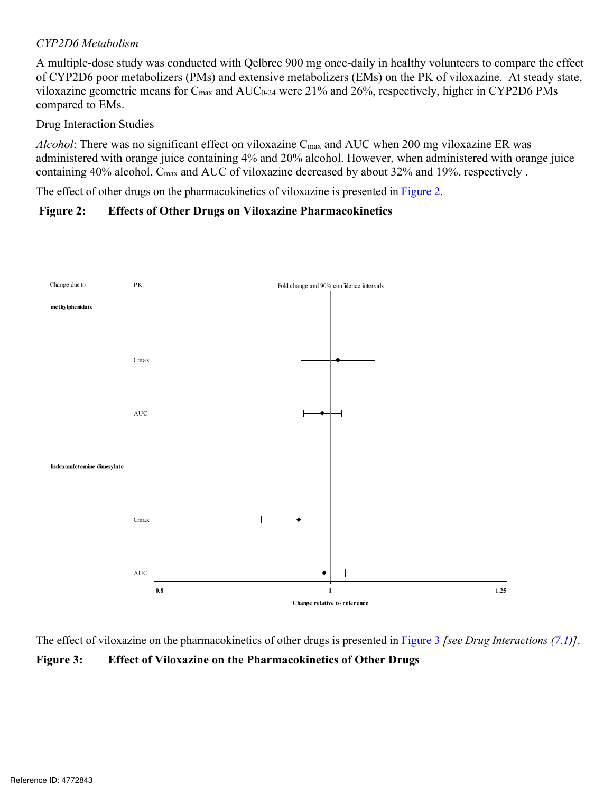#### *CYP2D6 Metabolism*

A multiple-dose study was conducted with Qelbree 900 mg once-daily in healthy volunteers to compare the effect of CYP2D6 poor metabolizers (PMs) and extensive metabolizers (EMs) on the PK of viloxazine. At steady state, viloxazine geometric means for  $C_{\text{max}}$  and  $AUC_{0.24}$  were 21% and 26%, respectively, higher in CYP2D6 PMs compared to EMs.

#### Drug Interaction Studies

*Alcohol*: There was no significant effect on viloxazine Cmax and AUC when 200 mg viloxazine ER was administered with orange juice containing 4% and 20% alcohol. However, when administered with orange juice containing 40% alcohol, C<sub>max</sub> and AUC of viloxazine decreased by about 32% and 19%, respectively.

The effect of other drugs on the pharmacokinetics of viloxazine is presented in Figure 2.

#### **Figure 2: Effects of Other Drugs on Viloxazine Pharmacokinetics**



The effect of viloxazine on the pharmacokinetics of other drugs is presented in Figure 3 *[see Drug Interactions (7.1)]*. **Figure 3: Effect of Viloxazine on the Pharmacokinetics of Other Drugs**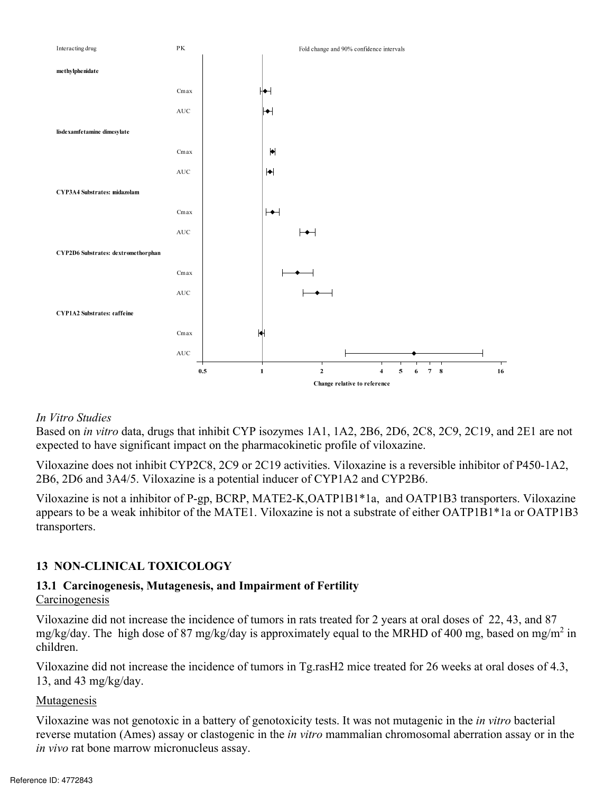

#### *In Vitro Studies*

Based on *in vitro* data, drugs that inhibit CYP isozymes 1A1, 1A2, 2B6, 2D6, 2C8, 2C9, 2C19, and 2E1 are not expected to have significant impact on the pharmacokinetic profile of viloxazine.

Viloxazine does not inhibit CYP2C8, 2C9 or 2C19 activities. Viloxazine is a reversible inhibitor of P450-1A2, 2B6, 2D6 and 3A4/5. Viloxazine is a potential inducer of CYP1A2 and CYP2B6.

*x* Viloxazine does not inhibit CYP2C8, 2C9 or 2C19 activities. Viloxazine is a reversible inhibitor of P450-1A2,  $2B6$ ,  $2D6$  and  $3A4/5$ . Viloxazine is a potential inducer of CYP1A2 and CYP2B6.<br>*Xiloxazine* is not a inhi Viloxazine is not a inhibitor of P-gp, BCRP, MATE2-K,OATP1B1\*1a, and OATP1B3 transporters. Viloxazine appears to be a weak inhibitor of the MATE1. Viloxazine is not a substrate of either OATP1B1\*1a or OATP1B3 transporters.

#### **13 NON-CLINICAL TOXICOLOGY**

# **13.1 Carcinogenesis, Mutagenesis, and Impairment of Fertility**

#### Carcinogenesis

Viloxazine did not increase the incidence of tumors in rats treated for 2 years at oral doses of 22, 43, and 87 mg/kg/day. The high dose of 87 mg/kg/day is approximately equal to the MRHD of 400 mg, based on mg/m<sup>2</sup> in children.

Viloxazine did not increase the incidence of tumors in Tg.rasH2 mice treated for 26 weeks at oral doses of 4.3, 13, and 43 mg/kg/day.

#### Mutagenesis

Viloxazine was not genotoxic in a battery of genotoxicity tests. It was not mutagenic in the *in vitro* bacterial reverse mutation (Ames) assay or clastogenic in the *in vitro* mammalian chromosomal aberration assay or in the *in vivo* rat bone marrow micronucleus assay.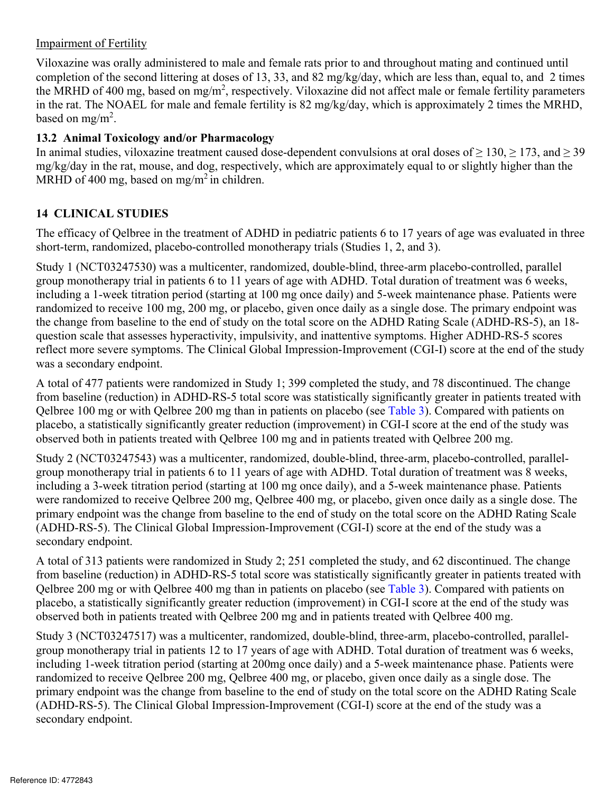#### Impairment of Fertility

Viloxazine was orally administered to male and female rats prior to and throughout mating and continued until completion of the second littering at doses of 13, 33, and 82 mg/kg/day, which are less than, equal to, and 2 times the MRHD of 400 mg, based on mg/m<sup>2</sup>, respectively. Viloxazine did not affect male or female fertility parameters in the rat. The NOAEL for male and female fertility is 82 mg/kg/day, which is approximately 2 times the MRHD, based on mg/m<sup>2</sup>.

### **13.2 Animal Toxicology and/or Pharmacology**

In animal studies, viloxazine treatment caused dose-dependent convulsions at oral doses of  $\geq 130$ ,  $\geq 173$ , and  $\geq 39$ mg/kg/day in the rat, mouse, and dog, respectively, which are approximately equal to or slightly higher than the MRHD of 400 mg, based on mg/m<sup>2</sup> in children.

### **14 CLINICAL STUDIES**

The efficacy of Qelbree in the treatment of ADHD in pediatric patients 6 to 17 years of age was evaluated in three short-term, randomized, placebo-controlled monotherapy trials (Studies 1, 2, and 3).

Study 1 (NCT03247530) was a multicenter, randomized, double-blind, three-arm placebo-controlled, parallel group monotherapy trial in patients 6 to 11 years of age with ADHD. Total duration of treatment was 6 weeks, including a 1-week titration period (starting at 100 mg once daily) and 5-week maintenance phase. Patients were randomized to receive 100 mg, 200 mg, or placebo, given once daily as a single dose. The primary endpoint was the change from baseline to the end of study on the total score on the ADHD Rating Scale (ADHD-RS-5), an 18 question scale that assesses hyperactivity, impulsivity, and inattentive symptoms. Higher ADHD-RS-5 scores reflect more severe symptoms. The Clinical Global Impression-Improvement (CGI-I) score at the end of the study was a secondary endpoint.

A total of 477 patients were randomized in Study 1; 399 completed the study, and 78 discontinued. The change from baseline (reduction) in ADHD-RS-5 total score was statistically significantly greater in patients treated with Qelbree 100 mg or with Qelbree 200 mg than in patients on placebo (see Table 3). Compared with patients on placebo, a statistically significantly greater reduction (improvement) in CGI-I score at the end of the study was observed both in patients treated with Qelbree 100 mg and in patients treated with Qelbree 200 mg.

Study 2 (NCT03247543) was a multicenter, randomized, double-blind, three-arm, placebo-controlled, parallelgroup monotherapy trial in patients 6 to 11 years of age with ADHD. Total duration of treatment was 8 weeks, including a 3-week titration period (starting at 100 mg once daily), and a 5-week maintenance phase. Patients were randomized to receive Qelbree 200 mg, Qelbree 400 mg, or placebo, given once daily as a single dose. The primary endpoint was the change from baseline to the end of study on the total score on the ADHD Rating Scale (ADHD-RS-5). The Clinical Global Impression-Improvement (CGI-I) score at the end of the study was a secondary endpoint.

A total of 313 patients were randomized in Study 2; 251 completed the study, and 62 discontinued. The change from baseline (reduction) in ADHD-RS-5 total score was statistically significantly greater in patients treated with Qelbree 200 mg or with Qelbree 400 mg than in patients on placebo (see Table 3). Compared with patients on placebo, a statistically significantly greater reduction (improvement) in CGI-I score at the end of the study was observed both in patients treated with Qelbree 200 mg and in patients treated with Qelbree 400 mg.

Study 3 (NCT03247517) was a multicenter, randomized, double-blind, three-arm, placebo-controlled, parallelgroup monotherapy trial in patients 12 to 17 years of age with ADHD. Total duration of treatment was 6 weeks, including 1-week titration period (starting at 200mg once daily) and a 5-week maintenance phase. Patients were randomized to receive Qelbree 200 mg, Qelbree 400 mg, or placebo, given once daily as a single dose. The primary endpoint was the change from baseline to the end of study on the total score on the ADHD Rating Scale (ADHD-RS-5). The Clinical Global Impression-Improvement (CGI-I) score at the end of the study was a secondary endpoint.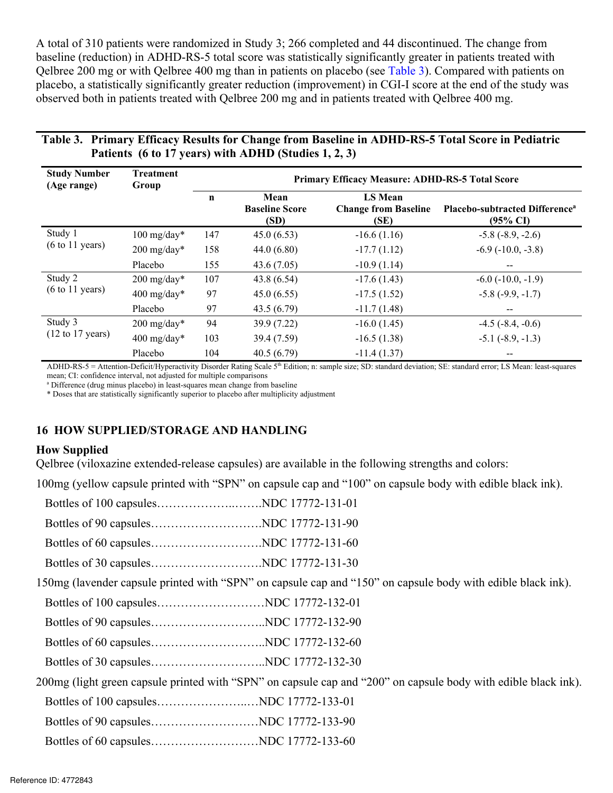A total of 310 patients were randomized in Study 3; 266 completed and 44 discontinued. The change from baseline (reduction) in ADHD-RS-5 total score was statistically significantly greater in patients treated with Qelbree 200 mg or with Qelbree 400 mg than in patients on placebo (see Table 3). Compared with patients on placebo, a statistically significantly greater reduction (improvement) in CGI-I score at the end of the study was observed both in patients treated with Qelbree 200 mg and in patients treated with Qelbree 400 mg.

#### **Table 3. Primary Efficacy Results for Change from Baseline in ADHD-RS-5 Total Score in Pediatric Patients (6 to 17 years) with ADHD (Studies 1, 2, 3)**

| <b>Study Number</b><br>Treatment<br>Primary Efficacy Measure: ADHD-RS-5 Total Score<br>(Age range)<br>Group |                                                  |            |                                                                                                                                                                                           |                                |                                                                                                                                                                               |
|-------------------------------------------------------------------------------------------------------------|--------------------------------------------------|------------|-------------------------------------------------------------------------------------------------------------------------------------------------------------------------------------------|--------------------------------|-------------------------------------------------------------------------------------------------------------------------------------------------------------------------------|
|                                                                                                             |                                                  |            | Mean<br><b>Baseline Score</b><br>(SD)                                                                                                                                                     | <b>LS Mean</b><br>(SE)         | Change from Baseline Placebo-subtracted Difference <sup>a</sup><br>$(95\% \text{ CI})$                                                                                        |
| Study 1<br>$(6 \text{ to } 11 \text{ years})$                                                               | $100 \text{ mg/day}^*$                           | 147        | 45.0(6.53)                                                                                                                                                                                | $-16.6(1.16)$                  | $-5.8$ (-8.9, -2.6)                                                                                                                                                           |
|                                                                                                             | $200 \text{ mg/day}^*$<br>Placebo                | 158<br>155 | 44.0(6.80)<br>43.6(7.05)                                                                                                                                                                  | $-17.7(1.12)$<br>$-10.9(1.14)$ | $-6.9$ $(-10.0, -3.8)$<br><b><i><u>Participate</u></i></b>                                                                                                                    |
| Study 2<br>$(6 \text{ to } 11 \text{ years})$                                                               | $200 \text{ mg/day}^*$                           | 107        | 43.8(6.54)<br>45.0(6.55)                                                                                                                                                                  | $-17.6(1.43)$<br>$-17.5(1.52)$ | $-6.0$ ( $-10.0, -1.9$ )<br>$-5.8(-9.9, -1.7)$                                                                                                                                |
|                                                                                                             | $400 \text{ mg/day}^*$<br>Placebo                |            | 43.5(6.79)                                                                                                                                                                                | $-11.7(1.48)$                  | <b>Service</b> Construction                                                                                                                                                   |
| Study 3<br>$(12 \text{ to } 17 \text{ years})$                                                              | $200 \text{ mg/day}^*$<br>$400 \text{ mg/day}^*$ | 103        | 39.9(7.22)<br>39.4(7.59)                                                                                                                                                                  | $-16.0(1.45)$<br>$-16.5(1.38)$ | $-4.5$ ( $-8.4, -0.6$ )<br>$-5.1$ $(-8.9, -1.3)$                                                                                                                              |
|                                                                                                             | Placebo                                          | 104        | 40.5(6.79)                                                                                                                                                                                | $-11.4(1.37)$                  |                                                                                                                                                                               |
| mean; CI: confidence interval, not adjusted for multiple comparisons                                        |                                                  |            | <sup>a</sup> Difference (drug minus placebo) in least-squares mean change from baseline<br>* Doses that are statistically significantly superior to placebo after multiplicity adjustment |                                | ADHD-RS-5 = Attention-Deficit/Hyperactivity Disorder Rating Scale 5 <sup>th</sup> Edition; n: sample size; SD: standard deviation; SE: standard error; LS Mean: least-squares |
|                                                                                                             |                                                  |            | <b>6 HOW SUPPLIED/STORAGE AND HANDLING</b>                                                                                                                                                |                                |                                                                                                                                                                               |
| <b>How Supplied</b>                                                                                         |                                                  |            |                                                                                                                                                                                           |                                |                                                                                                                                                                               |

#### **16 HOW SUPPLIED/STORAGE AND HANDLING**

#### **How Supplied**

Qelbree (viloxazine extended-release capsules) are available in the following strengths and colors:

100mg (yellow capsule printed with "SPN" on capsule cap and "100" on capsule body with edible black ink).

| 150mg (lavender capsule printed with "SPN" on capsule cap and "150" on capsule body with edible black ink).    |  |
|----------------------------------------------------------------------------------------------------------------|--|
|                                                                                                                |  |
|                                                                                                                |  |
|                                                                                                                |  |
|                                                                                                                |  |
| 200mg (light green capsule printed with "SPN" on capsule cap and "200" on capsule body with edible black ink). |  |
|                                                                                                                |  |
|                                                                                                                |  |
|                                                                                                                |  |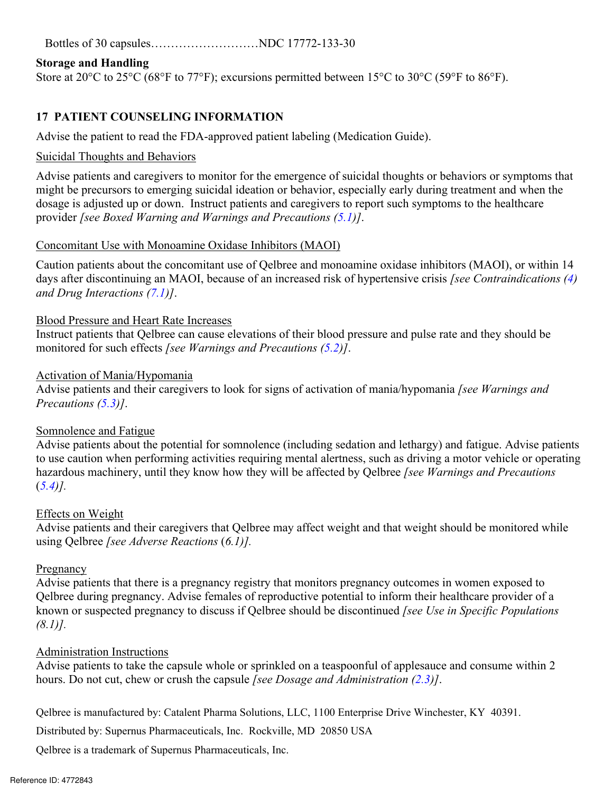Bottles of 30 capsules………………………NDC 17772-133-30

#### **Storage and Handling**

Store at 20°C to 25°C (68°F to 77°F); excursions permitted between 15°C to 30°C (59°F to 86°F).

### **17 PATIENT COUNSELING INFORMATION**

Advise the patient to read the FDA-approved patient labeling (Medication Guide).

#### Suicidal Thoughts and Behaviors

Advise patients and caregivers to monitor for the emergence of suicidal thoughts or behaviors or symptoms that might be precursors to emerging suicidal ideation or behavior, especially early during treatment and when the dosage is adjusted up or down. Instruct patients and caregivers to report such symptoms to the healthcare provider *[see Boxed Warning and Warnings and Precautions (5.1)]*.

#### Concomitant Use with Monoamine Oxidase Inhibitors (MAOI)

Caution patients about the concomitant use of Qelbree and monoamine oxidase inhibitors (MAOI), or within 14 days after discontinuing an MAOI, because of an increased risk of hypertensive crisis *[see Contraindications (4) and Drug Interactions (7.1)]*.

#### Blood Pressure and Heart Rate Increases

Instruct patients that Qelbree can cause elevations of their blood pressure and pulse rate and they should be monitored for such effects *[see Warnings and Precautions (5.2)]*.

#### Activation of Mania/Hypomania

Advise patients and their caregivers to look for signs of activation of mania/hypomania *[see Warnings and Precautions (5.3)]*.

#### Somnolence and Fatigue

 hazardous machinery, until they know how they will be affected by Qelbree *[see Warnings and Precautions*  Advise patients about the potential for somnolence (including sedation and lethargy) and fatigue. Advise patients to use caution when performing activities requiring mental alertness, such as driving a motor vehicle or operating (*5.4)].* 

#### Effects on Weight

 using Qelbree *[see Adverse Reactions* (*6.1)].*  Advise patients and their caregivers that Qelbree may affect weight and that weight should be monitored while

#### Pregnancy

Advise patients that there is a pregnancy registry that monitors pregnancy outcomes in women exposed to Qelbree during pregnancy. Advise females of reproductive potential to inform their healthcare provider of a known or suspected pregnancy to discuss if Qelbree should be discontinued *[see Use in Specific Populations (8.1)].* 

#### Administration Instructions

Advise patients to take the capsule whole or sprinkled on a teaspoonful of applesauce and consume within 2 hours. Do not cut, chew or crush the capsule *[see Dosage and Administration (2.3)]*.

Qelbree is manufactured by: Catalent Pharma Solutions, LLC, 1100 Enterprise Drive Winchester, KY 40391.

Distributed by: Supernus Pharmaceuticals, Inc. Rockville, MD 20850 USA

Qelbree is a trademark of Supernus Pharmaceuticals, Inc.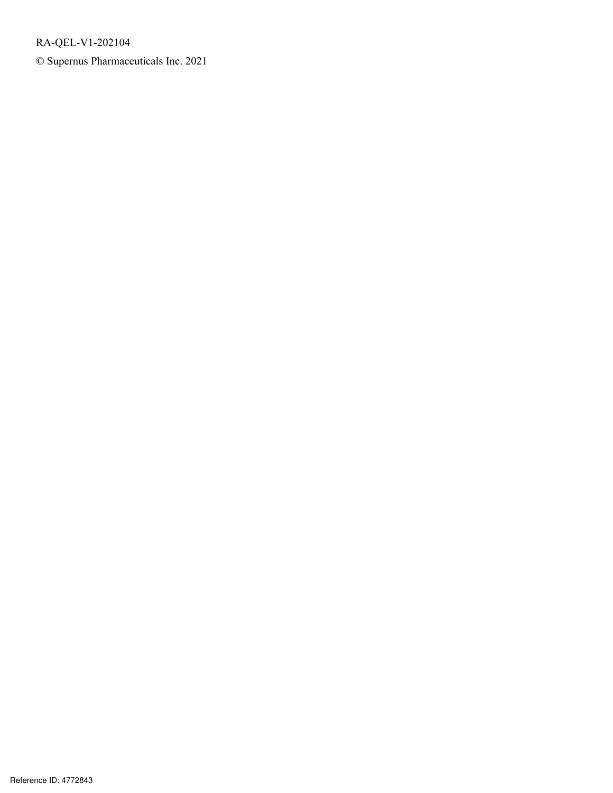RA-QEL-V1-202104

© Supernus Pharmaceuticals Inc. 2021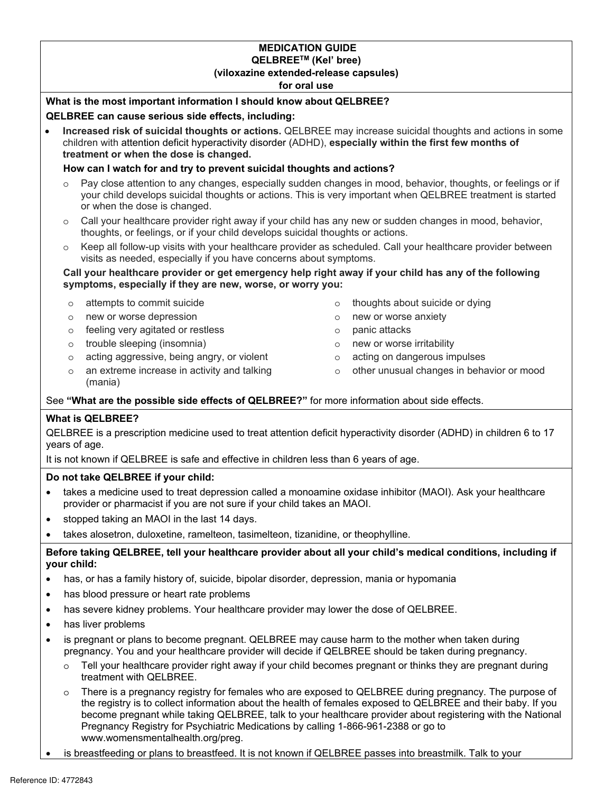#### **MEDICATION GUIDE QELBREETM (Kel' bree) (viloxazine extended-release capsules)**

**for oral use** 

#### **What is the most important information I should know about QELBREE?**

#### **QELBREE can cause serious side effects, including:**

**Increased risk of suicidal thoughts or actions.** QELBREE may increase suicidal thoughts and actions in some children with attention deficit hyperactivity disorder (ADHD), **especially within the first few months of treatment or when the dose is changed.** 

#### **How can I watch for and try to prevent suicidal thoughts and actions?**

- o Pay close attention to any changes, especially sudden changes in mood, behavior, thoughts, or feelings or if your child develops suicidal thoughts or actions. This is very important when QELBREE treatment is started or when the dose is changed.
- o Call your healthcare provider right away if your child has any new or sudden changes in mood, behavior, thoughts, or feelings, or if your child develops suicidal thoughts or actions.
- o Keep all follow-up visits with your healthcare provider as scheduled. Call your healthcare provider between visits as needed, especially if you have concerns about symptoms.

#### **symptoms, especially if they are new, worse, or worry you: Call your healthcare provider or get emergency help right away if your child has any of the following**

- 
- $\circ$ new or worse depression and the new or worse anxiety
- o feeling very agitated or restless o panic attacks
- $\circ$  trouble sleeping (insomnia)  $\circ$  new or worse irritability
- $\circ$  acting aggressive, being angry, or violent  $\circ$  acting on dangerous impulses
- o an extreme increase in activity and talking (mania)
- $\circ$ o attempts to commit suicide o thoughts about suicide or dying
	-
	- $\circ$
	-
	-
	- o other unusual changes in behavior or mood

See **"What are the possible side effects of QELBREE?"** for more information about side effects.

#### **What is QELBREE?**

QELBREE is a prescription medicine used to treat attention deficit hyperactivity disorder (ADHD) in children 6 to 17 years of age.

It is not known if QELBREE is safe and effective in children less than 6 years of age.

#### **Do not take QELBREE if your child:**

- takes a medicine used to treat depression called a monoamine oxidase inhibitor (MAOI). Ask your healthcare provider or pharmacist if you are not sure if your child takes an MAOI.
- stopped taking an MAOI in the last 14 days.
- takes alosetron, duloxetine, ramelteon, tasimelteon, tizanidine, or theophylline.

#### **Before taking QELBREE, tell your healthcare provider about all your child's medical conditions, including if your child:**

- has, or has a family history of, suicide, bipolar disorder, depression, mania or hypomania
- has blood pressure or heart rate problems
- has severe kidney problems. Your healthcare provider may lower the dose of QELBREE.
- has liver problems
- is pregnant or plans to become pregnant. QELBREE may cause harm to the mother when taken during pregnancy. You and your healthcare provider will decide if QELBREE should be taken during pregnancy.
	- $\circ$  Tell your healthcare provider right away if your child becomes pregnant or thinks they are pregnant during treatment with QELBREE.
	- o There is a pregnancy registry for females who are exposed to QELBREE during pregnancy. The purpose of the registry is to collect information about the health of females exposed to QELBREE and their baby. If you become pregnant while taking QELBREE, talk to your healthcare provider about registering with the National Pregnancy Registry for Psychiatric Medications by calling 1-866-961-2388 or go to www.womensmentalhealth.org/preg.
- is breastfeeding or plans to breastfeed. It is not known if QELBREE passes into breastmilk. Talk to your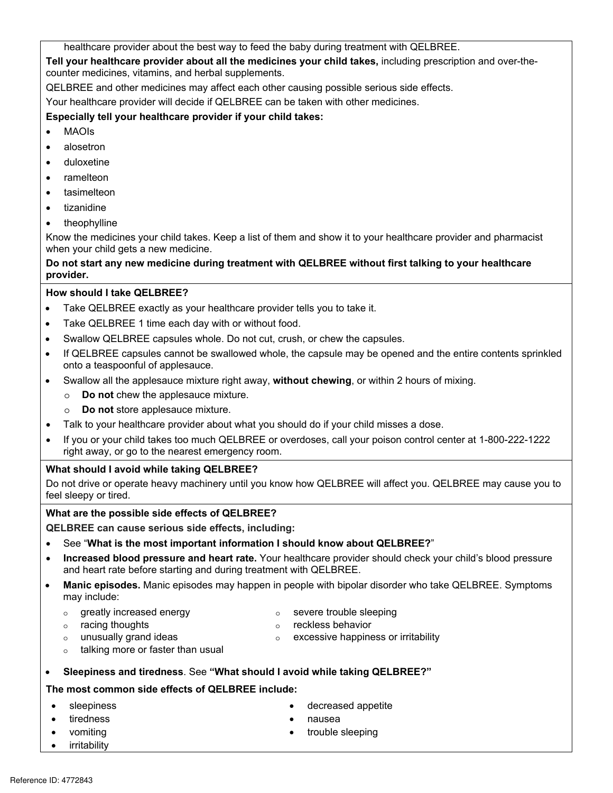healthcare provider about the best way to feed the baby during treatment with QELBREE.

counter medicines, vitamins, and herbal supplements. **Tell your healthcare provider about all the medicines your child takes,** including prescription and over-the-

QELBREE and other medicines may affect each other causing possible serious side effects.

Your healthcare provider will decide if QELBREE can be taken with other medicines.

#### **Especially tell your healthcare provider if your child takes:**

- MAOIs
- alosetron
- duloxetine
- ramelteon
- tasimelteon
- tizanidine
- theophylline

Know the medicines your child takes. Keep a list of them and show it to your healthcare provider and pharmacist when your child gets a new medicine.

#### **Do not start any new medicine during treatment with QELBREE without first talking to your healthcare provider.**

#### **How should I take QELBREE?**

- Take QELBREE exactly as your healthcare provider tells you to take it.
- Take QELBREE 1 time each day with or without food.
- Swallow QELBREE capsules whole. Do not cut, crush, or chew the capsules.
- If QELBREE capsules cannot be swallowed whole, the capsule may be opened and the entire contents sprinkled onto a teaspoonful of applesauce.
- Swallow all the applesauce mixture right away, **without chewing**, or within 2 hours of mixing.
	- o **Do not** chew the applesauce mixture.
	- o **Do not** store applesauce mixture.
- Talk to your healthcare provider about what you should do if your child misses a dose.
- If you or your child takes too much QELBREE or overdoses, call your poison control center at 1-800-222-1222 right away, or go to the nearest emergency room.

#### **What should I avoid while taking QELBREE?**

Do not drive or operate heavy machinery until you know how QELBREE will affect you. QELBREE may cause you to feel sleepy or tired.

#### **What are the possible side effects of QELBREE?**

**QELBREE can cause serious side effects, including:** 

- See "**What is the most important information I should know about QELBREE?**"
- **Increased blood pressure and heart rate.** Your healthcare provider should check your child's blood pressure and heart rate before starting and during treatment with QELBREE.
- may include: **Manic episodes.** Manic episodes may happen in people with bipolar disorder who take QELBREE. Symptoms
	- o greatly increased energy

o severe trouble sleeping

o racing thoughts

o reckless behavior

o excessive happiness or irritability

- o unusually grand ideas
- o talking more or faster than usual
- **Sleepiness and tiredness**. See **"What should I avoid while taking QELBREE?"**

#### **The most common side effects of QELBREE include:**

- sleepiness
- tiredness
- vomiting
- irritability
- decreased appetite
- nausea
- trouble sleeping